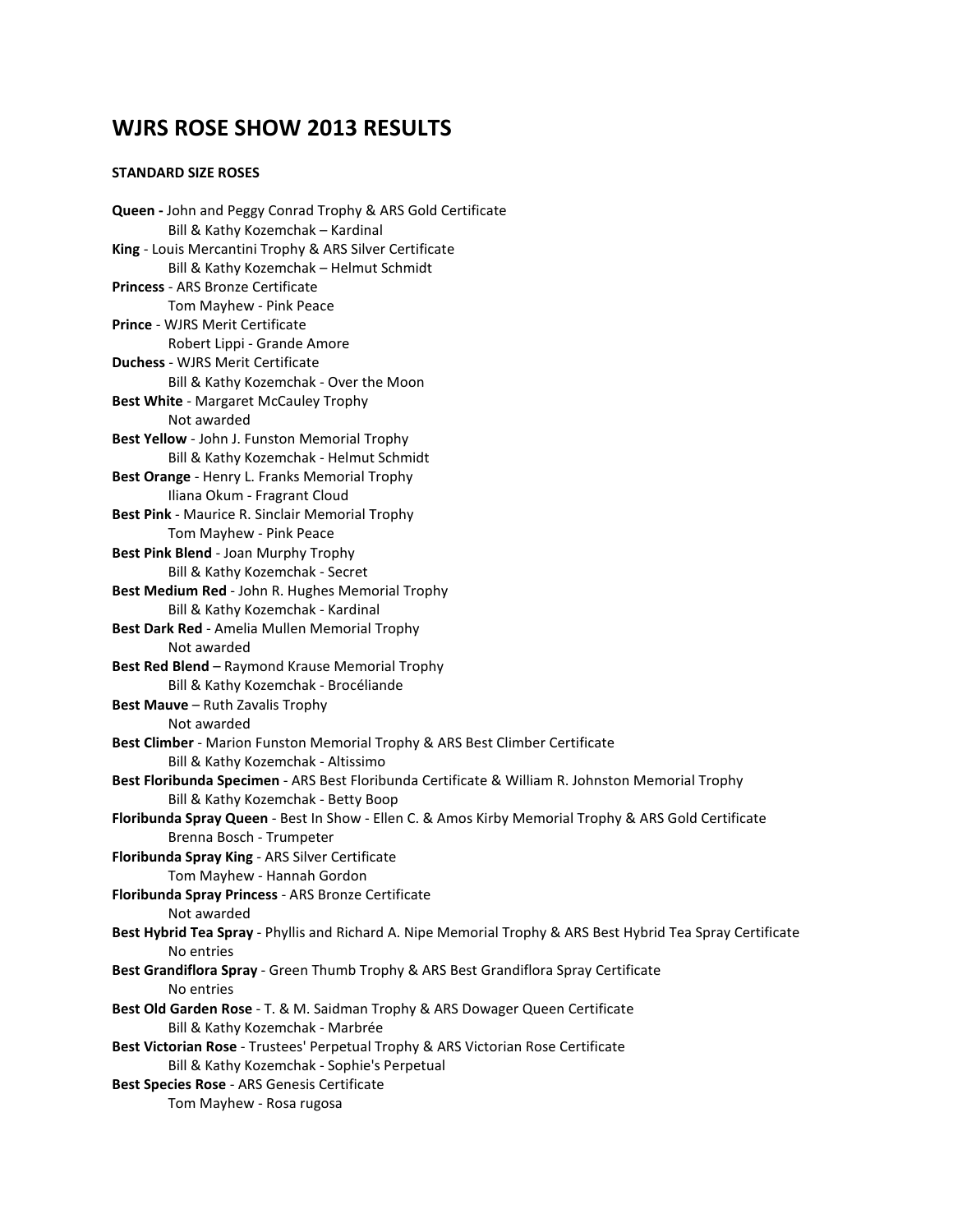# **WJRS ROSE SHOW 2013 RESULTS**

#### **STANDARD SIZE ROSES**

**Queen -** John and Peggy Conrad Trophy & ARS Gold Certificate Bill & Kathy Kozemchak – Kardinal **King** - Louis Mercantini Trophy & ARS Silver Certificate Bill & Kathy Kozemchak – Helmut Schmidt **Princess** - ARS Bronze Certificate Tom Mayhew - Pink Peace **Prince** - WJRS Merit Certificate Robert Lippi - Grande Amore **Duchess** - WJRS Merit Certificate Bill & Kathy Kozemchak - Over the Moon **Best White** - Margaret McCauley Trophy Not awarded **Best Yellow** - John J. Funston Memorial Trophy Bill & Kathy Kozemchak - Helmut Schmidt **Best Orange** - Henry L. Franks Memorial Trophy Iliana Okum - Fragrant Cloud **Best Pink** - Maurice R. Sinclair Memorial Trophy Tom Mayhew - Pink Peace **Best Pink Blend** - Joan Murphy Trophy Bill & Kathy Kozemchak - Secret **Best Medium Red** - John R. Hughes Memorial Trophy Bill & Kathy Kozemchak - Kardinal **Best Dark Red** - Amelia Mullen Memorial Trophy Not awarded **Best Red Blend** – Raymond Krause Memorial Trophy Bill & Kathy Kozemchak - Brocéliande **Best Mauve** – Ruth Zavalis Trophy Not awarded **Best Climber** - Marion Funston Memorial Trophy & ARS Best Climber Certificate Bill & Kathy Kozemchak - Altissimo **Best Floribunda Specimen** - ARS Best Floribunda Certificate & William R. Johnston Memorial Trophy Bill & Kathy Kozemchak - Betty Boop **Floribunda Spray Queen** - Best In Show - Ellen C. & Amos Kirby Memorial Trophy & ARS Gold Certificate Brenna Bosch - Trumpeter **Floribunda Spray King** - ARS Silver Certificate Tom Mayhew - Hannah Gordon **Floribunda Spray Princess** - ARS Bronze Certificate Not awarded **Best Hybrid Tea Spray** - Phyllis and Richard A. Nipe Memorial Trophy & ARS Best Hybrid Tea Spray Certificate No entries **Best Grandiflora Spray** - Green Thumb Trophy & ARS Best Grandiflora Spray Certificate No entries **Best Old Garden Rose** - T. & M. Saidman Trophy & ARS Dowager Queen Certificate Bill & Kathy Kozemchak - Marbrée **Best Victorian Rose** - Trustees' Perpetual Trophy & ARS Victorian Rose Certificate Bill & Kathy Kozemchak - Sophie's Perpetual **Best Species Rose** - ARS Genesis Certificate Tom Mayhew - Rosa rugosa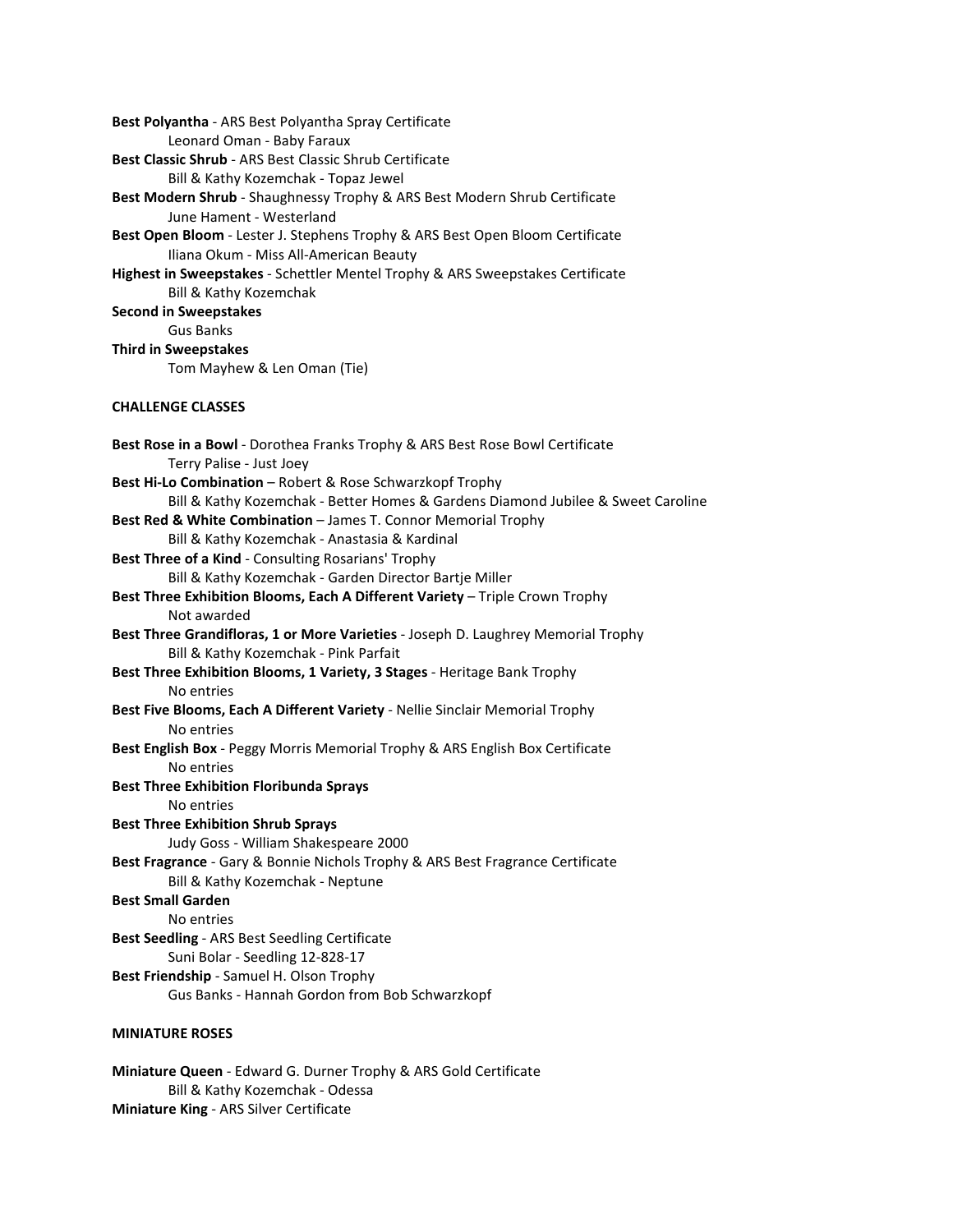**Best Polyantha** - ARS Best Polyantha Spray Certificate Leonard Oman - Baby Faraux **Best Classic Shrub** - ARS Best Classic Shrub Certificate Bill & Kathy Kozemchak - Topaz Jewel **Best Modern Shrub** - Shaughnessy Trophy & ARS Best Modern Shrub Certificate June Hament - Westerland **Best Open Bloom** - Lester J. Stephens Trophy & ARS Best Open Bloom Certificate Iliana Okum - Miss All-American Beauty **Highest in Sweepstakes** - Schettler Mentel Trophy & ARS Sweepstakes Certificate Bill & Kathy Kozemchak **Second in Sweepstakes**  Gus Banks **Third in Sweepstakes**  Tom Mayhew & Len Oman (Tie) **CHALLENGE CLASSES Best Rose in a Bowl** - Dorothea Franks Trophy & ARS Best Rose Bowl Certificate Terry Palise - Just Joey **Best Hi-Lo Combination** – Robert & Rose Schwarzkopf Trophy Bill & Kathy Kozemchak - Better Homes & Gardens Diamond Jubilee & Sweet Caroline **Best Red & White Combination** – James T. Connor Memorial Trophy Bill & Kathy Kozemchak - Anastasia & Kardinal **Best Three of a Kind** - Consulting Rosarians' Trophy Bill & Kathy Kozemchak - Garden Director Bartje Miller **Best Three Exhibition Blooms, Each A Different Variety** – Triple Crown Trophy Not awarded **Best Three Grandifloras, 1 or More Varieties** - Joseph D. Laughrey Memorial Trophy Bill & Kathy Kozemchak - Pink Parfait **Best Three Exhibition Blooms, 1 Variety, 3 Stages** - Heritage Bank Trophy No entries **Best Five Blooms, Each A Different Variety** - Nellie Sinclair Memorial Trophy No entries **Best English Box** - Peggy Morris Memorial Trophy & ARS English Box Certificate No entries **Best Three Exhibition Floribunda Sprays**  No entries **Best Three Exhibition Shrub Sprays**  Judy Goss - William Shakespeare 2000 **Best Fragrance** - Gary & Bonnie Nichols Trophy & ARS Best Fragrance Certificate Bill & Kathy Kozemchak - Neptune **Best Small Garden**  No entries **Best Seedling** - ARS Best Seedling Certificate Suni Bolar - Seedling 12-828-17 **Best Friendship** - Samuel H. Olson Trophy Gus Banks - Hannah Gordon from Bob Schwarzkopf **MINIATURE ROSES** 

**Miniature Queen** - Edward G. Durner Trophy & ARS Gold Certificate Bill & Kathy Kozemchak - Odessa **Miniature King** - ARS Silver Certificate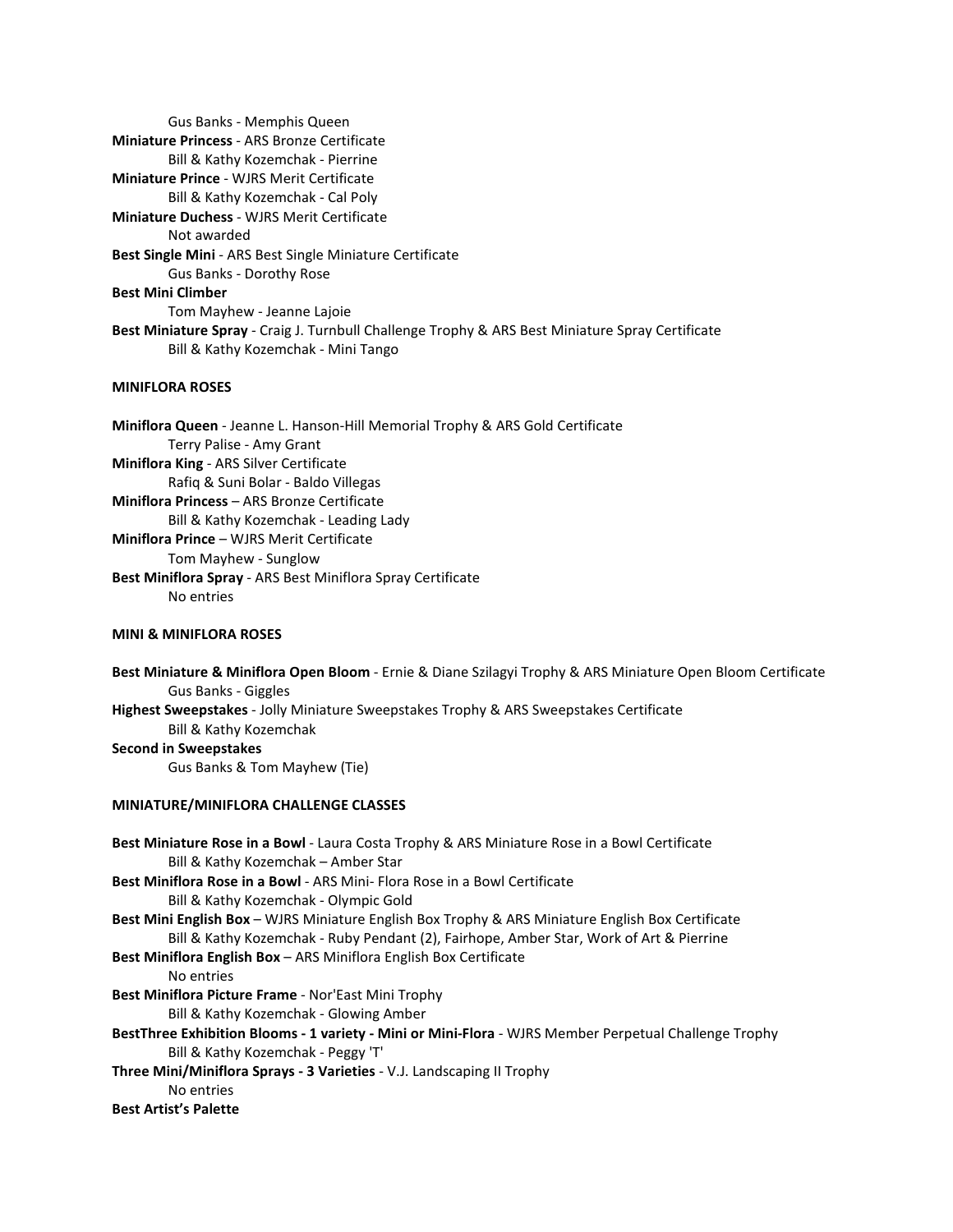Gus Banks - Memphis Queen **Miniature Princess** - ARS Bronze Certificate Bill & Kathy Kozemchak - Pierrine **Miniature Prince** - WJRS Merit Certificate Bill & Kathy Kozemchak - Cal Poly **Miniature Duchess** - WJRS Merit Certificate Not awarded **Best Single Mini** - ARS Best Single Miniature Certificate Gus Banks - Dorothy Rose **Best Mini Climber**  Tom Mayhew - Jeanne Lajoie **Best Miniature Spray** - Craig J. Turnbull Challenge Trophy & ARS Best Miniature Spray Certificate Bill & Kathy Kozemchak - Mini Tango

# **MINIFLORA ROSES**

**Miniflora Queen** - Jeanne L. Hanson-Hill Memorial Trophy & ARS Gold Certificate Terry Palise - Amy Grant **Miniflora King** - ARS Silver Certificate Rafiq & Suni Bolar - Baldo Villegas **Miniflora Princess** – ARS Bronze Certificate Bill & Kathy Kozemchak - Leading Lady **Miniflora Prince** – WJRS Merit Certificate Tom Mayhew - Sunglow **Best Miniflora Spray** - ARS Best Miniflora Spray Certificate No entries

# **MINI & MINIFLORA ROSES**

**Best Miniature & Miniflora Open Bloom** - Ernie & Diane Szilagyi Trophy & ARS Miniature Open Bloom Certificate Gus Banks - Giggles **Highest Sweepstakes** - Jolly Miniature Sweepstakes Trophy & ARS Sweepstakes Certificate Bill & Kathy Kozemchak **Second in Sweepstakes** 

Gus Banks & Tom Mayhew (Tie)

#### **MINIATURE/MINIFLORA CHALLENGE CLASSES**

| Best Miniature Rose in a Bowl - Laura Costa Trophy & ARS Miniature Rose in a Bowl Certificate         |
|-------------------------------------------------------------------------------------------------------|
| Bill & Kathy Kozemchak - Amber Star                                                                   |
| Best Miniflora Rose in a Bowl - ARS Mini- Flora Rose in a Bowl Certificate                            |
| Bill & Kathy Kozemchak - Olympic Gold                                                                 |
| Best Mini English Box - WJRS Miniature English Box Trophy & ARS Miniature English Box Certificate     |
| Bill & Kathy Kozemchak - Ruby Pendant (2), Fairhope, Amber Star, Work of Art & Pierrine               |
| <b>Best Miniflora English Box - ARS Miniflora English Box Certificate</b>                             |
| No entries                                                                                            |
| Best Miniflora Picture Frame - Nor'East Mini Trophy                                                   |
| Bill & Kathy Kozemchak - Glowing Amber                                                                |
| BestThree Exhibition Blooms - 1 variety - Mini or Mini-Flora - WJRS Member Perpetual Challenge Trophy |
| Bill & Kathy Kozemchak - Peggy 'T'                                                                    |
| Three Mini/Miniflora Sprays - 3 Varieties - V.J. Landscaping II Trophy                                |
| No entries                                                                                            |
| <b>Best Artist's Palette</b>                                                                          |